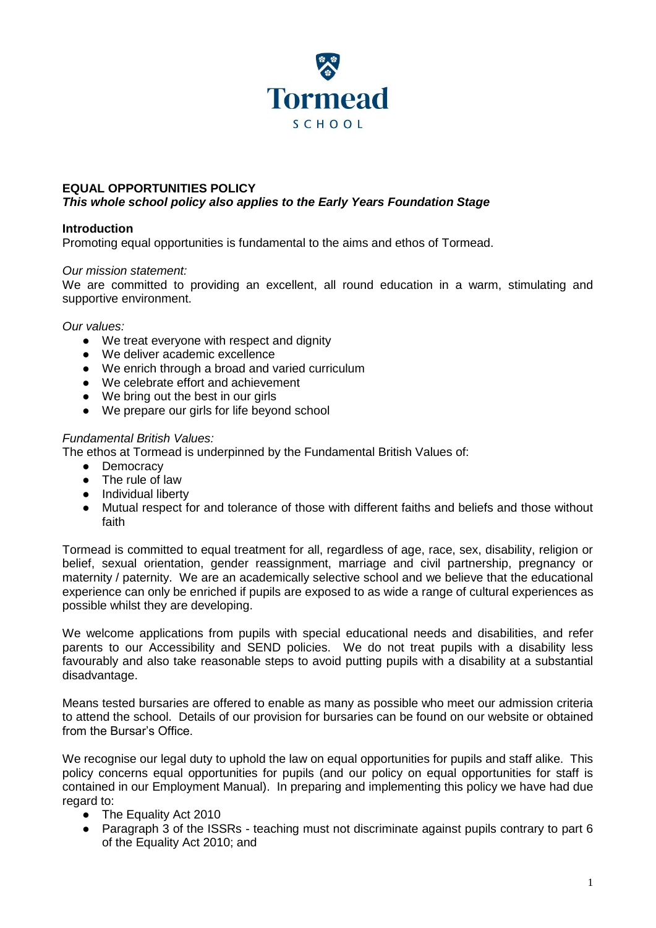

# **EQUAL OPPORTUNITIES POLICY**

# *This whole school policy also applies to the Early Years Foundation Stage*

# **Introduction**

Promoting equal opportunities is fundamental to the aims and ethos of Tormead.

# *Our mission statement:*

We are committed to providing an excellent, all round education in a warm, stimulating and supportive environment.

#### *Our values:*

- We treat everyone with respect and dignity
- We deliver academic excellence
- We enrich through a broad and varied curriculum
- We celebrate effort and achievement
- We bring out the best in our girls
- We prepare our girls for life beyond school

# *Fundamental British Values:*

The ethos at Tormead is underpinned by the Fundamental British Values of:

- Democracy
- The rule of law
- Individual liberty
- Mutual respect for and tolerance of those with different faiths and beliefs and those without faith

Tormead is committed to equal treatment for all, regardless of age, race, sex, disability, religion or belief, sexual orientation, gender reassignment, marriage and civil partnership, pregnancy or maternity / paternity. We are an academically selective school and we believe that the educational experience can only be enriched if pupils are exposed to as wide a range of cultural experiences as possible whilst they are developing.

We welcome applications from pupils with special educational needs and disabilities, and refer parents to our Accessibility and SEND policies. We do not treat pupils with a disability less favourably and also take reasonable steps to avoid putting pupils with a disability at a substantial disadvantage.

Means tested bursaries are offered to enable as many as possible who meet our admission criteria to attend the school. Details of our provision for bursaries can be found on our website or obtained from the Bursar's Office.

We recognise our legal duty to uphold the law on equal opportunities for pupils and staff alike. This policy concerns equal opportunities for pupils (and our policy on equal opportunities for staff is contained in our Employment Manual). In preparing and implementing this policy we have had due regard to:

- The Equality Act 2010
- Paragraph 3 of the ISSRs teaching must not discriminate against pupils contrary to part 6 of the Equality Act 2010; and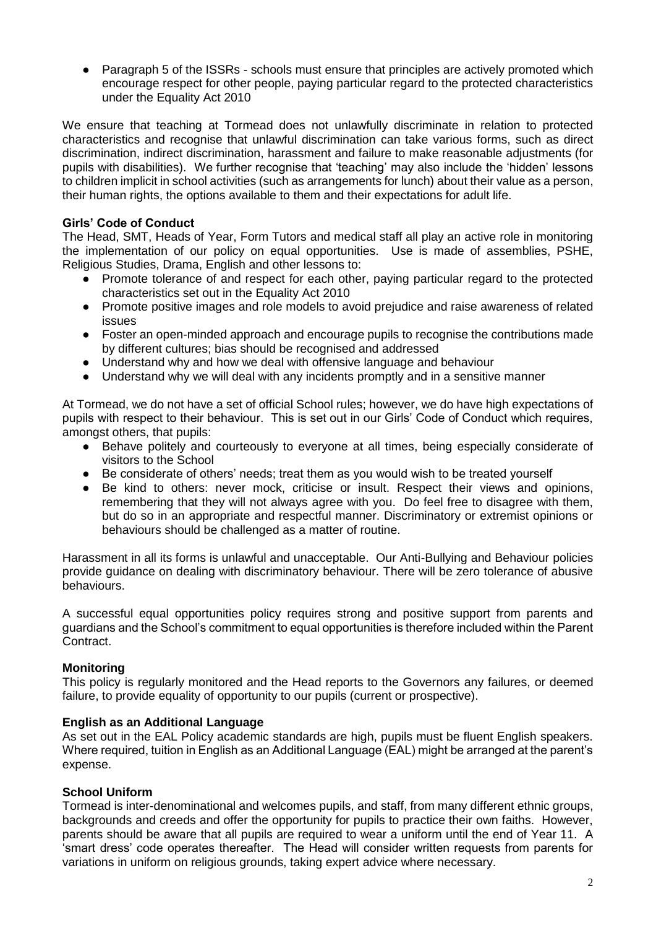• Paragraph 5 of the ISSRs - schools must ensure that principles are actively promoted which encourage respect for other people, paying particular regard to the protected characteristics under the Equality Act 2010

We ensure that teaching at Tormead does not unlawfully discriminate in relation to protected characteristics and recognise that unlawful discrimination can take various forms, such as direct discrimination, indirect discrimination, harassment and failure to make reasonable adjustments (for pupils with disabilities). We further recognise that 'teaching' may also include the 'hidden' lessons to children implicit in school activities (such as arrangements for lunch) about their value as a person, their human rights, the options available to them and their expectations for adult life.

# **Girls' Code of Conduct**

The Head, SMT, Heads of Year, Form Tutors and medical staff all play an active role in monitoring the implementation of our policy on equal opportunities. Use is made of assemblies, PSHE, Religious Studies, Drama, English and other lessons to:

- Promote tolerance of and respect for each other, paying particular regard to the protected characteristics set out in the Equality Act 2010
- Promote positive images and role models to avoid prejudice and raise awareness of related issues
- Foster an open-minded approach and encourage pupils to recognise the contributions made by different cultures; bias should be recognised and addressed
- Understand why and how we deal with offensive language and behaviour
- Understand why we will deal with any incidents promptly and in a sensitive manner

At Tormead, we do not have a set of official School rules; however, we do have high expectations of pupils with respect to their behaviour. This is set out in our Girls' Code of Conduct which requires, amongst others, that pupils:

- Behave politely and courteously to everyone at all times, being especially considerate of visitors to the School
- Be considerate of others' needs; treat them as you would wish to be treated yourself
- Be kind to others: never mock, criticise or insult. Respect their views and opinions, remembering that they will not always agree with you. Do feel free to disagree with them, but do so in an appropriate and respectful manner. Discriminatory or extremist opinions or behaviours should be challenged as a matter of routine.

Harassment in all its forms is unlawful and unacceptable. Our Anti-Bullying and Behaviour policies provide guidance on dealing with discriminatory behaviour. There will be zero tolerance of abusive behaviours.

A successful equal opportunities policy requires strong and positive support from parents and guardians and the School's commitment to equal opportunities is therefore included within the Parent Contract.

#### **Monitoring**

This policy is regularly monitored and the Head reports to the Governors any failures, or deemed failure, to provide equality of opportunity to our pupils (current or prospective).

#### **English as an Additional Language**

As set out in the EAL Policy academic standards are high, pupils must be fluent English speakers. Where required, tuition in English as an Additional Language (EAL) might be arranged at the parent's expense.

#### **School Uniform**

Tormead is inter-denominational and welcomes pupils, and staff, from many different ethnic groups, backgrounds and creeds and offer the opportunity for pupils to practice their own faiths. However, parents should be aware that all pupils are required to wear a uniform until the end of Year 11. A 'smart dress' code operates thereafter. The Head will consider written requests from parents for variations in uniform on religious grounds, taking expert advice where necessary.